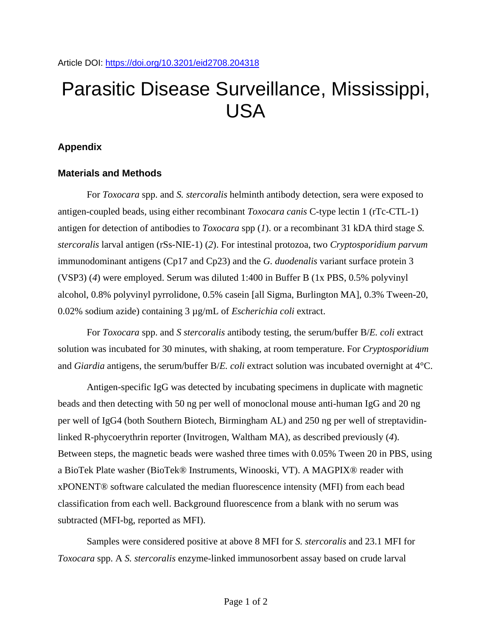## Parasitic Disease Surveillance, Mississippi, USA

## **Appendix**

## **Materials and Methods**

For *Toxocara* spp. and *S. stercoralis* helminth antibody detection, sera were exposed to antigen-coupled beads, using either recombinant *Toxocara canis* C-type lectin 1 (rTc-CTL-1) antigen for detection of antibodies to *Toxocara* spp (*1*). or a recombinant 31 kDA third stage *S. stercoralis* larval antigen (rSs-NIE-1) (*2*). For intestinal protozoa, two *Cryptosporidium parvum* immunodominant antigens (Cp17 and Cp23) and the *G. duodenalis* variant surface protein 3 (VSP3) (*4*) were employed. Serum was diluted 1:400 in Buffer B (1x PBS, 0.5% polyvinyl alcohol, 0.8% polyvinyl pyrrolidone, 0.5% casein [all Sigma, Burlington MA], 0.3% Tween-20, 0.02% sodium azide) containing 3 µg/mL of *Escherichia coli* extract.

For *Toxocara* spp. and *S stercoralis* antibody testing, the serum/buffer B/*E. coli* extract solution was incubated for 30 minutes, with shaking, at room temperature. For *Cryptosporidium* and *Giardia* antigens, the serum/buffer B/*E. coli* extract solution was incubated overnight at 4°C.

Antigen-specific IgG was detected by incubating specimens in duplicate with magnetic beads and then detecting with 50 ng per well of monoclonal mouse anti-human IgG and 20 ng per well of IgG4 (both Southern Biotech, Birmingham AL) and 250 ng per well of streptavidinlinked R-phycoerythrin reporter (Invitrogen, Waltham MA), as described previously (*4*). Between steps, the magnetic beads were washed three times with 0.05% Tween 20 in PBS, using a BioTek Plate washer (BioTek® Instruments, Winooski, VT). A MAGPIX® reader with xPONENT® software calculated the median fluorescence intensity (MFI) from each bead classification from each well. Background fluorescence from a blank with no serum was subtracted (MFI-bg, reported as MFI).

Samples were considered positive at above 8 MFI for *S. stercoralis* and 23.1 MFI for *Toxocara* spp. A *S. stercoralis* enzyme-linked immunosorbent assay based on crude larval